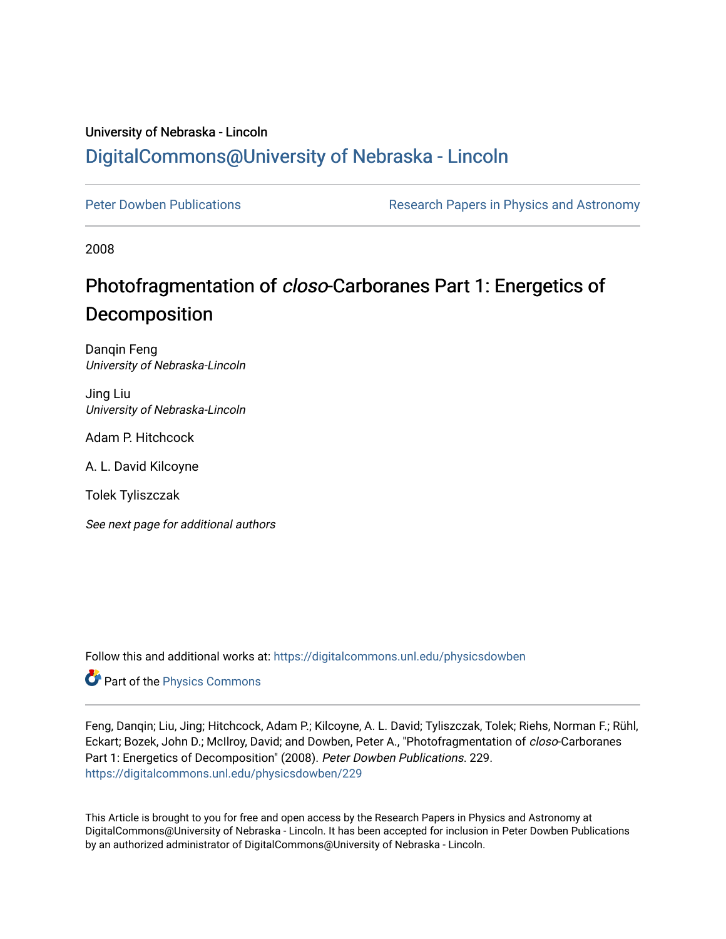# University of Nebraska - Lincoln [DigitalCommons@University of Nebraska - Lincoln](https://digitalcommons.unl.edu/)

[Peter Dowben Publications](https://digitalcommons.unl.edu/physicsdowben) **Research Papers in Physics and Astronomy** 

2008

# Photofragmentation of closo-Carboranes Part 1: Energetics of Decomposition

Danqin Feng University of Nebraska-Lincoln

Jing Liu University of Nebraska-Lincoln

Adam P. Hitchcock

A. L. David Kilcoyne

Tolek Tyliszczak

See next page for additional authors

Follow this and additional works at: [https://digitalcommons.unl.edu/physicsdowben](https://digitalcommons.unl.edu/physicsdowben?utm_source=digitalcommons.unl.edu%2Fphysicsdowben%2F229&utm_medium=PDF&utm_campaign=PDFCoverPages) 

**Part of the [Physics Commons](http://network.bepress.com/hgg/discipline/193?utm_source=digitalcommons.unl.edu%2Fphysicsdowben%2F229&utm_medium=PDF&utm_campaign=PDFCoverPages)** 

Feng, Danqin; Liu, Jing; Hitchcock, Adam P.; Kilcoyne, A. L. David; Tyliszczak, Tolek; Riehs, Norman F.; Rühl, Eckart; Bozek, John D.; McIlroy, David; and Dowben, Peter A., "Photofragmentation of closo-Carboranes Part 1: Energetics of Decomposition" (2008). Peter Dowben Publications. 229. [https://digitalcommons.unl.edu/physicsdowben/229](https://digitalcommons.unl.edu/physicsdowben/229?utm_source=digitalcommons.unl.edu%2Fphysicsdowben%2F229&utm_medium=PDF&utm_campaign=PDFCoverPages) 

This Article is brought to you for free and open access by the Research Papers in Physics and Astronomy at DigitalCommons@University of Nebraska - Lincoln. It has been accepted for inclusion in Peter Dowben Publications by an authorized administrator of DigitalCommons@University of Nebraska - Lincoln.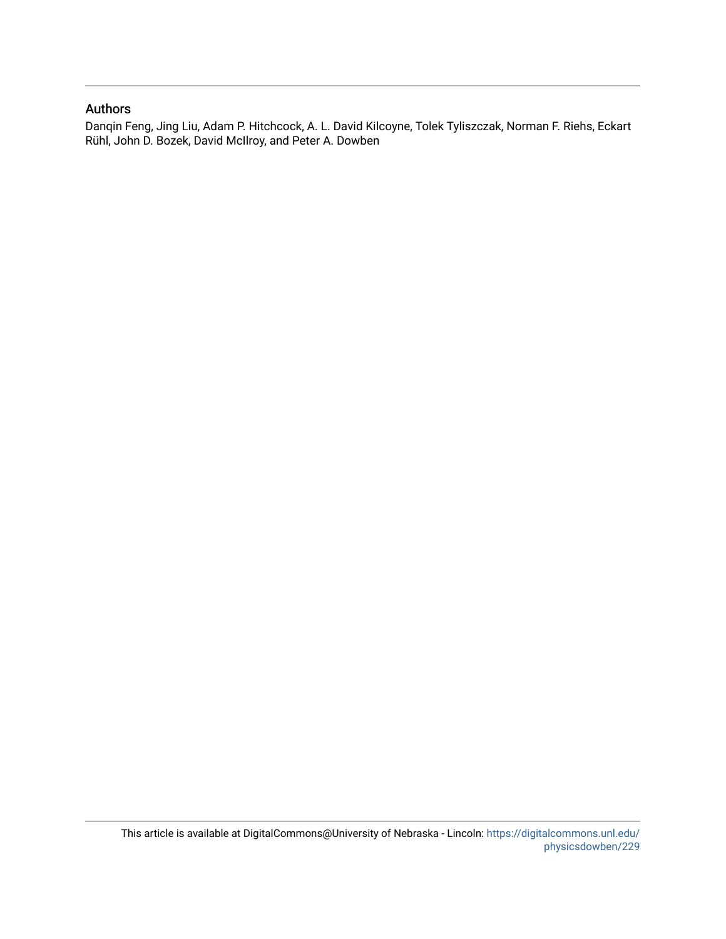# Authors

Danqin Feng, Jing Liu, Adam P. Hitchcock, A. L. David Kilcoyne, Tolek Tyliszczak, Norman F. Riehs, Eckart Rühl, John D. Bozek, David McIlroy, and Peter A. Dowben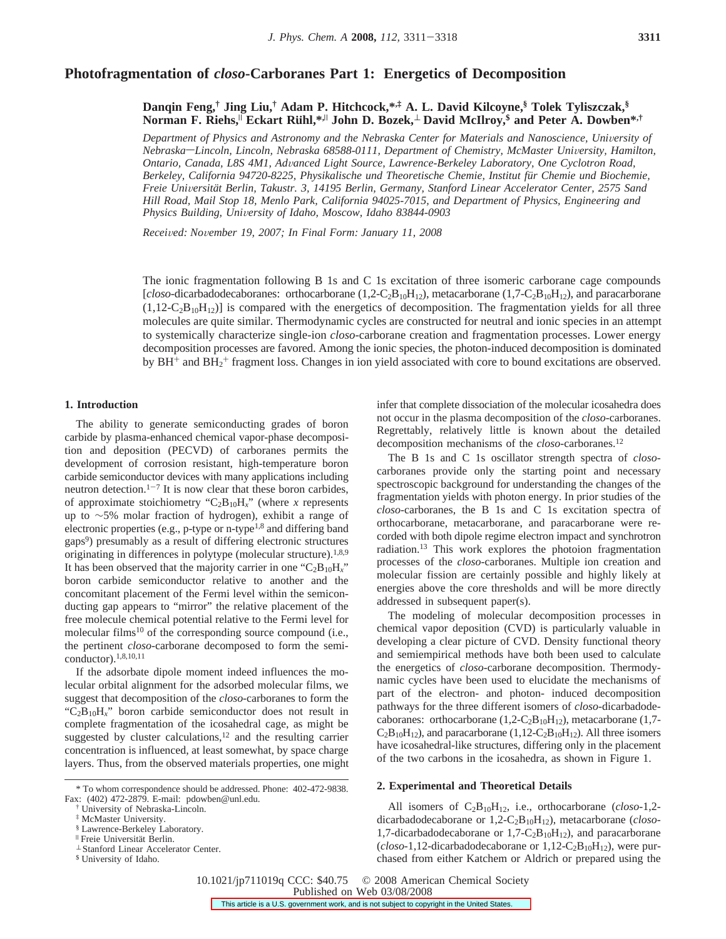## **Photofragmentation of** *closo***-Carboranes Part 1: Energetics of Decomposition**

## **Danqin Feng,† Jing Liu,† Adam P. Hitchcock,\*,‡ A. L. David Kilcoyne,§ Tolek Tyliszczak,§ Norman F. Riehs,**<sup>|</sup> **Eckart Ru**1**hl,\*,**<sup>|</sup> **John D. Bozek,**<sup>⊥</sup> **David McIlroy,\$ and Peter A. Dowben\*,†**

*Department of Physics and Astronomy and the Nebraska Center for Materials and Nanoscience, University of Nebraska*-Lincoln, Lincoln, Nebraska 68588-0111, Department of Chemistry, McMaster University, Hamilton, *Ontario, Canada, L8S 4M1, Ad*V*anced Light Source, Lawrence-Berkeley Laboratory, One Cyclotron Road, Berkeley, California 94720-8225, Physikalische und Theoretische Chemie, Institut fu¨r Chemie und Biochemie, Freie Uni*V*ersita¨t Berlin, Takustr. 3, 14195 Berlin, Germany, Stanford Linear Accelerator Center, 2575 Sand Hill Road, Mail Stop 18, Menlo Park, California 94025-7015, and Department of Physics, Engineering and Physics Building, Uni*V*ersity of Idaho, Moscow, Idaho 83844-0903*

*Recei*V*ed: No*V*ember 19, 2007; In Final Form: January 11, 2008*

The ionic fragmentation following B 1s and C 1s excitation of three isomeric carborane cage compounds [*closo*-dicarbadodecaboranes: orthocarborane (1,2-C<sub>2</sub>B<sub>10</sub>H<sub>12</sub>), metacarborane (1,7-C<sub>2</sub>B<sub>10</sub>H<sub>12</sub>), and paracarborane  $(1,12-C_2B_{10}H_{12})$  is compared with the energetics of decomposition. The fragmentation yields for all three molecules are quite similar. Thermodynamic cycles are constructed for neutral and ionic species in an attempt to systemically characterize single-ion *closo*-carborane creation and fragmentation processes. Lower energy decomposition processes are favored. Among the ionic species, the photon-induced decomposition is dominated by  $BH^+$  and  $BH_2^+$  fragment loss. Changes in ion yield associated with core to bound excitations are observed.

#### **1. Introduction**

The ability to generate semiconducting grades of boron carbide by plasma-enhanced chemical vapor-phase decomposition and deposition (PECVD) of carboranes permits the development of corrosion resistant, high-temperature boron carbide semiconductor devices with many applications including neutron detection. $1-7$  It is now clear that these boron carbides, of approximate stoichiometry " $C_2B_{10}H_x$ " (where *x* represents up to ∼5% molar fraction of hydrogen), exhibit a range of electronic properties (e.g., p-type or n-type<sup>1,8</sup> and differing band gaps9) presumably as a result of differing electronic structures originating in differences in polytype (molecular structure).<sup>1,8,9</sup> It has been observed that the majority carrier in one " $C_2B_{10}H_x$ " boron carbide semiconductor relative to another and the concomitant placement of the Fermi level within the semiconducting gap appears to "mirror" the relative placement of the free molecule chemical potential relative to the Fermi level for molecular films<sup>10</sup> of the corresponding source compound (i.e., the pertinent *closo*-carborane decomposed to form the semiconductor).1,8,10,11

If the adsorbate dipole moment indeed influences the molecular orbital alignment for the adsorbed molecular films, we suggest that decomposition of the *closo*-carboranes to form the "C2B10H*x*" boron carbide semiconductor does not result in complete fragmentation of the icosahedral cage, as might be suggested by cluster calculations, $12$  and the resulting carrier concentration is influenced, at least somewhat, by space charge layers. Thus, from the observed materials properties, one might

infer that complete dissociation of the molecular icosahedra does not occur in the plasma decomposition of the *closo*-carboranes. Regrettably, relatively little is known about the detailed decomposition mechanisms of the *closo*-carboranes.12

The B 1s and C 1s oscillator strength spectra of *closo*carboranes provide only the starting point and necessary spectroscopic background for understanding the changes of the fragmentation yields with photon energy. In prior studies of the *closo*-carboranes, the B 1s and C 1s excitation spectra of orthocarborane, metacarborane, and paracarborane were recorded with both dipole regime electron impact and synchrotron radiation.13 This work explores the photoion fragmentation processes of the *closo*-carboranes. Multiple ion creation and molecular fission are certainly possible and highly likely at energies above the core thresholds and will be more directly addressed in subsequent paper(s).

The modeling of molecular decomposition processes in chemical vapor deposition (CVD) is particularly valuable in developing a clear picture of CVD. Density functional theory and semiempirical methods have both been used to calculate the energetics of *closo*-carborane decomposition. Thermodynamic cycles have been used to elucidate the mechanisms of part of the electron- and photon- induced decomposition pathways for the three different isomers of *closo*-dicarbadodecaboranes: orthocarborane  $(1,2-C_2B_{10}H_{12})$ , metacarborane  $(1,7 C_2B_{10}H_{12}$ , and paracarborane (1,12- $C_2B_{10}H_{12}$ ). All three isomers have icosahedral-like structures, differing only in the placement of the two carbons in the icosahedra, as shown in Figure 1.

#### **2. Experimental and Theoretical Details**

All isomers of C2B10H12, i.e., orthocarborane (*closo*-1,2 dicarbadodecaborane or 1,2-C2B10H12), metacarborane (*closo*-1,7-dicarbadodecaborane or  $1,7-C_2B_{10}H_{12}$ , and paracarborane  $(closo-1, 12$ -dicarbadodecaborane or  $1, 12-C<sub>2</sub>B<sub>10</sub>H<sub>12</sub>$ , were purchased from either Katchem or Aldrich or prepared using the

10.1021/jp711019q CCC: \$40.75 © 2008 American Chemical Society Published on Web 03/08/2008This article is a U.S. government work, and is not subject to copyright in the United States.

<sup>\*</sup> To whom correspondence should be addressed. Phone: 402-472-9838. Fax: (402) 472-2879. E-mail: pdowben@unl.edu.

University of Nebraska-Lincoln.

<sup>‡</sup> McMaster University.

<sup>&</sup>lt;sup>§</sup> Lawrence-Berkeley Laboratory.<br><sup>II</sup> Freie Universität Berlin.

 $^\perp$  Stanford Linear Accelerator Center.

<sup>\$</sup> University of Idaho.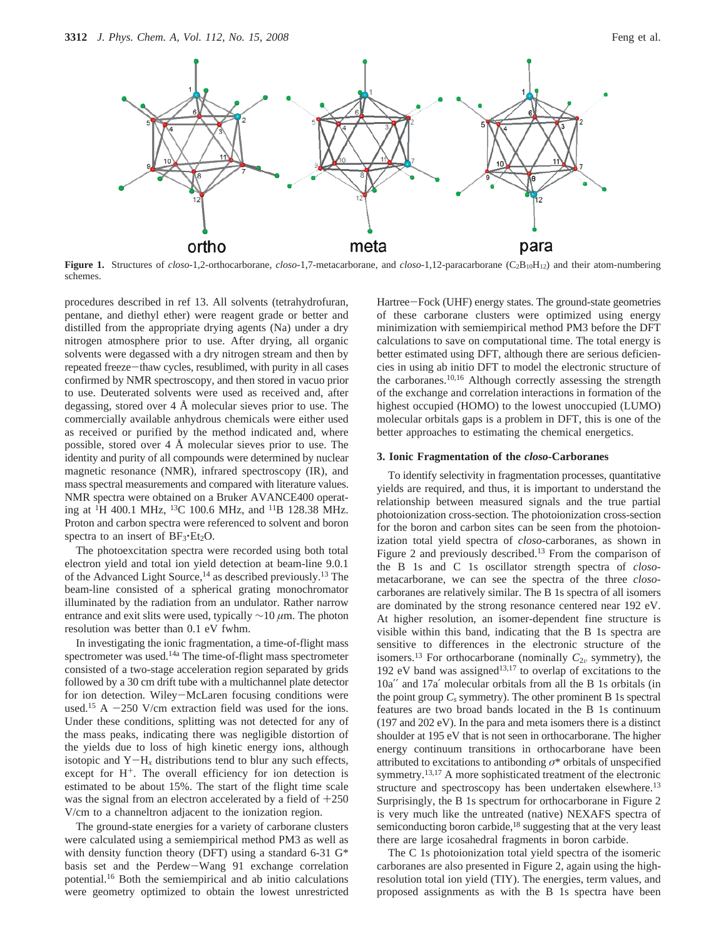

**Figure 1.** Structures of *closo*-1,2-orthocarborane, *closo*-1,7-metacarborane, and *closo*-1,12-paracarborane (C2B10H12) and their atom-numbering schemes.

procedures described in ref 13. All solvents (tetrahydrofuran, pentane, and diethyl ether) were reagent grade or better and distilled from the appropriate drying agents (Na) under a dry nitrogen atmosphere prior to use. After drying, all organic solvents were degassed with a dry nitrogen stream and then by repeated freeze-thaw cycles, resublimed, with purity in all cases confirmed by NMR spectroscopy, and then stored in vacuo prior to use. Deuterated solvents were used as received and, after degassing, stored over 4 Å molecular sieves prior to use. The commercially available anhydrous chemicals were either used as received or purified by the method indicated and, where possible, stored over 4 Å molecular sieves prior to use. The identity and purity of all compounds were determined by nuclear magnetic resonance (NMR), infrared spectroscopy (IR), and mass spectral measurements and compared with literature values. NMR spectra were obtained on a Bruker AVANCE400 operating at <sup>1</sup>H 400.1 MHz, <sup>13</sup>C 100.6 MHz, and <sup>11</sup>B 128.38 MHz. Proton and carbon spectra were referenced to solvent and boron spectra to an insert of  $BF_3$  $Et_2O$ .

The photoexcitation spectra were recorded using both total electron yield and total ion yield detection at beam-line 9.0.1 of the Advanced Light Source,<sup>14</sup> as described previously.<sup>13</sup> The beam-line consisted of a spherical grating monochromator illuminated by the radiation from an undulator. Rather narrow entrance and exit slits were used, typically ∼10 *µ*m. The photon resolution was better than 0.1 eV fwhm.

In investigating the ionic fragmentation, a time-of-flight mass spectrometer was used.<sup>14a</sup> The time-of-flight mass spectrometer consisted of a two-stage acceleration region separated by grids followed by a 30 cm drift tube with a multichannel plate detector for ion detection. Wiley-McLaren focusing conditions were used.<sup>15</sup> A  $-250$  V/cm extraction field was used for the ions. Under these conditions, splitting was not detected for any of the mass peaks, indicating there was negligible distortion of the yields due to loss of high kinetic energy ions, although isotopic and  $Y-H<sub>r</sub>$  distributions tend to blur any such effects, except for  $H^+$ . The overall efficiency for ion detection is estimated to be about 15%. The start of the flight time scale was the signal from an electron accelerated by a field of  $+250$ V/cm to a channeltron adjacent to the ionization region.

The ground-state energies for a variety of carborane clusters were calculated using a semiempirical method PM3 as well as with density function theory (DFT) using a standard 6-31 G<sup>\*</sup> basis set and the Perdew-Wang 91 exchange correlation potential.16 Both the semiempirical and ab initio calculations were geometry optimized to obtain the lowest unrestricted Hartree-Fock (UHF) energy states. The ground-state geometries of these carborane clusters were optimized using energy minimization with semiempirical method PM3 before the DFT calculations to save on computational time. The total energy is better estimated using DFT, although there are serious deficiencies in using ab initio DFT to model the electronic structure of the carboranes.10,16 Although correctly assessing the strength of the exchange and correlation interactions in formation of the highest occupied (HOMO) to the lowest unoccupied (LUMO) molecular orbitals gaps is a problem in DFT, this is one of the better approaches to estimating the chemical energetics.

#### **3. Ionic Fragmentation of the** *closo***-Carboranes**

To identify selectivity in fragmentation processes, quantitative yields are required, and thus, it is important to understand the relationship between measured signals and the true partial photoionization cross-section. The photoionization cross-section for the boron and carbon sites can be seen from the photoionization total yield spectra of *closo*-carboranes, as shown in Figure 2 and previously described.13 From the comparison of the B 1s and C 1s oscillator strength spectra of *closo*metacarborane, we can see the spectra of the three *closo*carboranes are relatively similar. The B 1s spectra of all isomers are dominated by the strong resonance centered near 192 eV. At higher resolution, an isomer-dependent fine structure is visible within this band, indicating that the B 1s spectra are sensitive to differences in the electronic structure of the isomers.<sup>13</sup> For orthocarborane (nominally  $C_{2v}$  symmetry), the 192 eV band was assigned<sup>13,17</sup> to overlap of excitations to the 10a′′ and 17a′ molecular orbitals from all the B 1s orbitals (in the point group  $C_s$  symmetry). The other prominent  $B$  1s spectral features are two broad bands located in the B 1s continuum (197 and 202 eV). In the para and meta isomers there is a distinct shoulder at 195 eV that is not seen in orthocarborane. The higher energy continuum transitions in orthocarborane have been attributed to excitations to antibonding *σ*\* orbitals of unspecified symmetry.13,17 A more sophisticated treatment of the electronic structure and spectroscopy has been undertaken elsewhere.<sup>13</sup> Surprisingly, the B 1s spectrum for orthocarborane in Figure 2 is very much like the untreated (native) NEXAFS spectra of semiconducting boron carbide,<sup>18</sup> suggesting that at the very least there are large icosahedral fragments in boron carbide.

The C 1s photoionization total yield spectra of the isomeric carboranes are also presented in Figure 2, again using the highresolution total ion yield (TIY). The energies, term values, and proposed assignments as with the B 1s spectra have been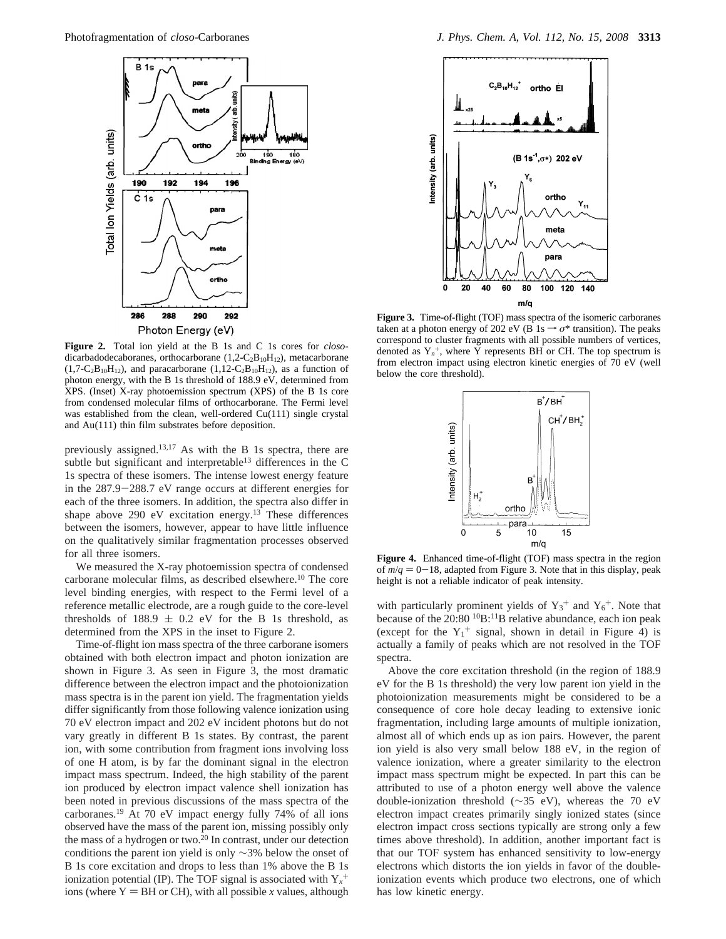

**Figure 2.** Total ion yield at the B 1s and C 1s cores for *closo*dicarbadodecaboranes, orthocarborane (1,2-C<sub>2</sub>B<sub>10</sub>H<sub>12</sub>), metacarborane  $(1,7-C_2B_{10}H_{12})$ , and paracarborane  $(1,12-C_2B_{10}H_{12})$ , as a function of photon energy, with the B 1s threshold of 188.9 eV, determined from XPS. (Inset) X-ray photoemission spectrum (XPS) of the B 1s core from condensed molecular films of orthocarborane. The Fermi level was established from the clean, well-ordered Cu(111) single crystal and Au(111) thin film substrates before deposition.

previously assigned.13,17 As with the B 1s spectra, there are subtle but significant and interpretable<sup>13</sup> differences in the C 1s spectra of these isomers. The intense lowest energy feature in the 287.9-288.7 eV range occurs at different energies for each of the three isomers. In addition, the spectra also differ in shape above 290 eV excitation energy. $13$  These differences between the isomers, however, appear to have little influence on the qualitatively similar fragmentation processes observed for all three isomers.

We measured the X-ray photoemission spectra of condensed carborane molecular films, as described elsewhere.10 The core level binding energies, with respect to the Fermi level of a reference metallic electrode, are a rough guide to the core-level thresholds of 188.9  $\pm$  0.2 eV for the B 1s threshold, as determined from the XPS in the inset to Figure 2.

Time-of-flight ion mass spectra of the three carborane isomers obtained with both electron impact and photon ionization are shown in Figure 3. As seen in Figure 3, the most dramatic difference between the electron impact and the photoionization mass spectra is in the parent ion yield. The fragmentation yields differ significantly from those following valence ionization using 70 eV electron impact and 202 eV incident photons but do not vary greatly in different B 1s states. By contrast, the parent ion, with some contribution from fragment ions involving loss of one H atom, is by far the dominant signal in the electron impact mass spectrum. Indeed, the high stability of the parent ion produced by electron impact valence shell ionization has been noted in previous discussions of the mass spectra of the carboranes.19 At 70 eV impact energy fully 74% of all ions observed have the mass of the parent ion, missing possibly only the mass of a hydrogen or two.20 In contrast, under our detection conditions the parent ion yield is only ∼3% below the onset of B 1s core excitation and drops to less than 1% above the B 1s ionization potential (IP). The TOF signal is associated with Y*<sup>x</sup>* + ions (where  $Y = BH$  or CH), with all possible *x* values, although



**Figure 3.** Time-of-flight (TOF) mass spectra of the isomeric carboranes taken at a photon energy of 202 eV (B 1s  $\rightarrow \sigma^*$  transition). The peaks correspond to cluster fragments with all possible numbers of vertices, denoted as  $Y_n^+$ , where Y represents BH or CH. The top spectrum is from electron impact using electron kinetic energies of 70 eV (well below the core threshold).



**Figure 4.** Enhanced time-of-flight (TOF) mass spectra in the region of  $m/q = 0-18$ , adapted from Figure 3. Note that in this display, peak height is not a reliable indicator of peak intensity.

with particularly prominent yields of  $Y_3^+$  and  $Y_6^+$ . Note that because of the 20:80 10B:11B relative abundance, each ion peak (except for the  $Y_1^+$  signal, shown in detail in Figure 4) is actually a family of peaks which are not resolved in the TOF spectra.

Above the core excitation threshold (in the region of 188.9 eV for the B 1s threshold) the very low parent ion yield in the photoionization measurements might be considered to be a consequence of core hole decay leading to extensive ionic fragmentation, including large amounts of multiple ionization, almost all of which ends up as ion pairs. However, the parent ion yield is also very small below 188 eV, in the region of valence ionization, where a greater similarity to the electron impact mass spectrum might be expected. In part this can be attributed to use of a photon energy well above the valence double-ionization threshold (∼35 eV), whereas the 70 eV electron impact creates primarily singly ionized states (since electron impact cross sections typically are strong only a few times above threshold). In addition, another important fact is that our TOF system has enhanced sensitivity to low-energy electrons which distorts the ion yields in favor of the doubleionization events which produce two electrons, one of which has low kinetic energy.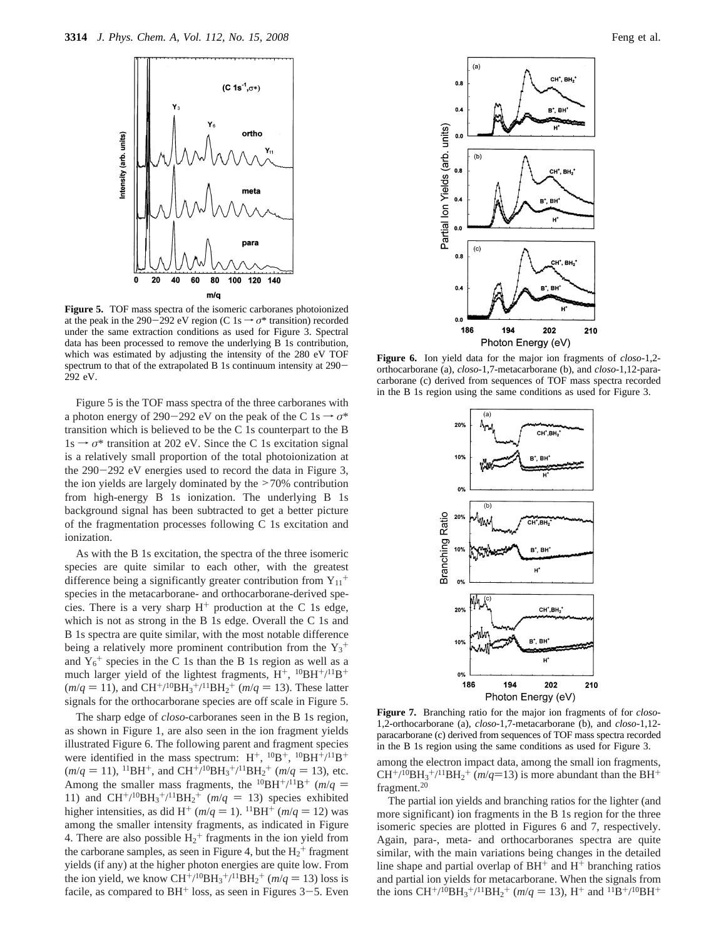

**Figure 5.** TOF mass spectra of the isomeric carboranes photoionized at the peak in the 290-292 eV region (C 1s  $\rightarrow \sigma^*$  transition) recorded under the same extraction conditions as used for Figure 3. Spectral data has been processed to remove the underlying B 1s contribution, which was estimated by adjusting the intensity of the 280 eV TOF spectrum to that of the extrapolated B 1s continuum intensity at 290-292 eV.

Figure 5 is the TOF mass spectra of the three carboranes with a photon energy of 290-292 eV on the peak of the C 1s  $\rightarrow \sigma^*$ transition which is believed to be the C 1s counterpart to the B  $1s \rightarrow \sigma^*$  transition at 202 eV. Since the C 1s excitation signal is a relatively small proportion of the total photoionization at the 290-292 eV energies used to record the data in Figure 3, the ion yields are largely dominated by the >70% contribution from high-energy B 1s ionization. The underlying B 1s background signal has been subtracted to get a better picture of the fragmentation processes following C 1s excitation and ionization.

As with the B 1s excitation, the spectra of the three isomeric species are quite similar to each other, with the greatest difference being a significantly greater contribution from  $Y_{11}$ <sup>+</sup> species in the metacarborane- and orthocarborane-derived species. There is a very sharp  $H^+$  production at the C 1s edge, which is not as strong in the B 1s edge. Overall the C 1s and B 1s spectra are quite similar, with the most notable difference being a relatively more prominent contribution from the  $Y_3^+$ and  $Y_6^+$  species in the C 1s than the B 1s region as well as a much larger yield of the lightest fragments,  $H^+$ ,  $^{10}BH^+/^{11}B^+$  $(m/q = 11)$ , and  $CH^{+/10}BH_3^{+/11}BH_2^{+}$   $(m/q = 13)$ . These latter signals for the orthocarborane species are off scale in Figure 5. signals for the orthocarborane species are off scale in Figure 5.

The sharp edge of *closo-*carboranes seen in the B 1s region, as shown in Figure 1, are also seen in the ion fragment yields illustrated Figure 6. The following parent and fragment species were identified in the mass spectrum:  $H^+$ ,  $^{10}B^+$ ,  $^{10}BH^+/^{11}B^+$  $(m/q = 11)$ , <sup>11</sup>BH<sup>+</sup>, and CH<sup>+</sup>/<sup>10</sup>BH<sub>3</sub><sup>+</sup>/<sup>11</sup>BH<sub>2</sub><sup>+</sup> (*m/q* = 13), etc. Among the smaller mass fragments, the <sup>10</sup>BH<sup>+</sup>/<sup>11</sup>B<sup>+</sup> (*m*/*q* = 11) and CH<sup>+</sup>/<sup>10</sup>BH<sub>2</sub><sup>+</sup>/<sup>11</sup>BH<sub>2</sub><sup>+</sup> (*m*/*q* = 13) species exhibited 11) and  $CH^{+/10}BH_3^{+/11}BH_2^+$  ( $m/q = 13$ ) species exhibited<br>higher intensities as did  $H^+(m/q = 1)$  <sup>11</sup>BH<sup>+</sup> ( $m/q = 12$ ) was higher intensities, as did H<sup>+</sup> ( $m/q = 1$ ). <sup>11</sup>BH<sup>+</sup> ( $m/q = 12$ ) was among the smaller intensity fragments, as indicated in Figure 4. There are also possible  $H_2^+$  fragments in the ion yield from the carborane samples, as seen in Figure 4, but the  $H_2$ <sup>+</sup> fragment yields (if any) at the higher photon energies are quite low. From the ion yield, we know  $CH^{+/10}BH_3^{+/11}BH_2^ + (m/q = 13)$  loss is<br>facile as compared to  $BH^+$  loss, as seen in Figures 3–5. Even facile, as compared to  $BH^+$  loss, as seen in Figures  $3-5$ . Even



**Figure 6.** Ion yield data for the major ion fragments of *closo*-1,2 orthocarborane (a), *closo*-1,7-metacarborane (b), and *closo*-1,12-paracarborane (c) derived from sequences of TOF mass spectra recorded in the B 1s region using the same conditions as used for Figure 3.



**Figure 7.** Branching ratio for the major ion fragments of for *closo*-1,2-orthocarborane (a), *closo*-1,7-metacarborane (b), and *closo*-1,12 paracarborane (c) derived from sequences of TOF mass spectra recorded in the B 1s region using the same conditions as used for Figure 3.

among the electron impact data, among the small ion fragments,  $CH^{+/10}BH_3^{+/11}BH_2^{+}$  ( $m/q=13$ ) is more abundant than the BH<sup>+</sup><br>fragment <sup>20</sup> fragment.20

The partial ion yields and branching ratios for the lighter (and more significant) ion fragments in the B 1s region for the three isomeric species are plotted in Figures 6 and 7, respectively. Again, para-, meta- and orthocarboranes spectra are quite similar, with the main variations being changes in the detailed line shape and partial overlap of  $BH^+$  and  $H^+$  branching ratios and partial ion yields for metacarborane. When the signals from the ions  $CH^{+/10}BH_3^{+/11}BH_2^{+}$  ( $m/q = 13$ ),  $H^{+}$  and  $^{11}B^{+/10}BH^{+}$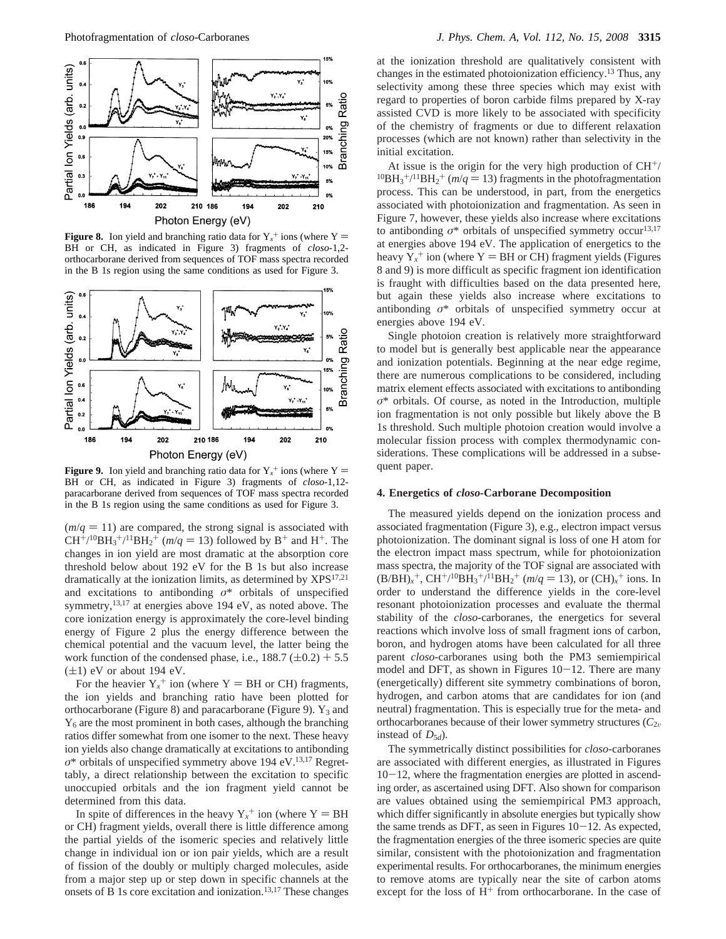

**Figure 8.** Ion yield and branching ratio data for  $Y_x^+$  ions (where  $Y = \text{RH}$  or CH as indicated in Figure 3) fragments of close-1.2-BH or CH, as indicated in Figure 3) fragments of *closo*-1,2 orthocarborane derived from sequences of TOF mass spectra recorded in the B 1s region using the same conditions as used for Figure 3.



**Figure 9.** Ion yield and branching ratio data for  $Y_x^+$  ions (where  $Y = RH$  or CH as indicated in Figure 3) fragments of class-1.12-BH or CH, as indicated in Figure 3) fragments of *closo*-1,12 paracarborane derived from sequences of TOF mass spectra recorded in the B 1s region using the same conditions as used for Figure 3.

 $(m/q = 11)$  are compared, the strong signal is associated with  $CH^{+/10}BH_3^{+/11}BH_2^{+}$  ( $m/q = 13$ ) followed by B<sup>+</sup> and H<sup>+</sup>. The changes in ion yield are most dramatic at the absorption core threshold below about 192 eV for the B 1s but also increase dramatically at the ionization limits, as determined by XPS<sup>17,21</sup> and excitations to antibonding *σ*\* orbitals of unspecified symmetry,13,17 at energies above 194 eV, as noted above. The core ionization energy is approximately the core-level binding energy of Figure 2 plus the energy difference between the chemical potential and the vacuum level, the latter being the work function of the condensed phase, i.e.,  $188.7 \, (\pm 0.2) + 5.5$  $(\pm 1)$  eV or about 194 eV.

For the heavier  $Y_x^+$  ion (where  $Y = BH$  or CH) fragments, the ion yields and branching ratio have been plotted for orthocarborane (Figure 8) and paracarborane (Figure 9).  $Y_3$  and  $Y<sub>6</sub>$  are the most prominent in both cases, although the branching ratios differ somewhat from one isomer to the next. These heavy ion yields also change dramatically at excitations to antibonding *σ*\* orbitals of unspecified symmetry above 194 eV.13,17 Regrettably, a direct relationship between the excitation to specific unoccupied orbitals and the ion fragment yield cannot be determined from this data.

In spite of differences in the heavy  $Y_x^+$  ion (where  $Y = BH$ <br>CH) fragment vields, overall there is little difference among or CH) fragment yields, overall there is little difference among the partial yields of the isomeric species and relatively little change in individual ion or ion pair yields, which are a result of fission of the doubly or multiply charged molecules, aside from a major step up or step down in specific channels at the onsets of B 1s core excitation and ionization.13,17 These changes

at the ionization threshold are qualitatively consistent with changes in the estimated photoionization efficiency.13 Thus, any selectivity among these three species which may exist with regard to properties of boron carbide films prepared by X-ray assisted CVD is more likely to be associated with specificity of the chemistry of fragments or due to different relaxation processes (which are not known) rather than selectivity in the initial excitation.

At issue is the origin for the very high production of  $CH^{+}/^{10}BH_3^{+}/^{11}BH_2^{+}$  ( $m/q = 13$ ) fragments in the photofragmentation process. This can be understood in part, from the energetics process. This can be understood, in part, from the energetics associated with photoionization and fragmentation. As seen in Figure 7, however, these yields also increase where excitations to antibonding  $\sigma^*$  orbitals of unspecified symmetry occur<sup>13,17</sup> at energies above 194 eV. The application of energetics to the heavy  $Y_x^+$  ion (where  $Y = BH$  or CH) fragment yields (Figures<br>8 and 9) is more difficult as specific fragment ion identification 8 and 9) is more difficult as specific fragment ion identification is fraught with difficulties based on the data presented here, but again these yields also increase where excitations to antibonding *σ*\* orbitals of unspecified symmetry occur at energies above 194 eV.

Single photoion creation is relatively more straightforward to model but is generally best applicable near the appearance and ionization potentials. Beginning at the near edge regime, there are numerous complications to be considered, including matrix element effects associated with excitations to antibonding *σ*\* orbitals. Of course, as noted in the Introduction, multiple ion fragmentation is not only possible but likely above the B 1s threshold. Such multiple photoion creation would involve a molecular fission process with complex thermodynamic considerations. These complications will be addressed in a subsequent paper.

#### **4. Energetics of** *closo***-Carborane Decomposition**

The measured yields depend on the ionization process and associated fragmentation (Figure 3), e.g., electron impact versus photoionization. The dominant signal is loss of one H atom for the electron impact mass spectrum, while for photoionization mass spectra, the majority of the TOF signal are associated with  $(B/BH)_x^+$ ,  $CH^{+/10}BH_3^+/^{11}BH_2^+$  ( $m/q = 13$ ), or  $(CH)_x^+$  ions. In order to understand the difference vields in the core-level order to understand the difference yields in the core-level resonant photoionization processes and evaluate the thermal stability of the *closo*-carboranes, the energetics for several reactions which involve loss of small fragment ions of carbon, boron, and hydrogen atoms have been calculated for all three parent *closo*-carboranes using both the PM3 semiempirical model and DFT, as shown in Figures  $10-12$ . There are many (energetically) different site symmetry combinations of boron, hydrogen, and carbon atoms that are candidates for ion (and neutral) fragmentation. This is especially true for the meta- and orthocarboranes because of their lower symmetry structures  $(C_{2v}$ instead of  $D_{5d}$ ).

The symmetrically distinct possibilities for *closo*-carboranes are associated with different energies, as illustrated in Figures  $10-12$ , where the fragmentation energies are plotted in ascending order, as ascertained using DFT. Also shown for comparison are values obtained using the semiempirical PM3 approach, which differ significantly in absolute energies but typically show the same trends as DFT, as seen in Figures  $10-12$ . As expected, the fragmentation energies of the three isomeric species are quite similar, consistent with the photoionization and fragmentation experimental results. For orthocarboranes, the minimum energies to remove atoms are typically near the site of carbon atoms except for the loss of  $H^+$  from orthocarborane. In the case of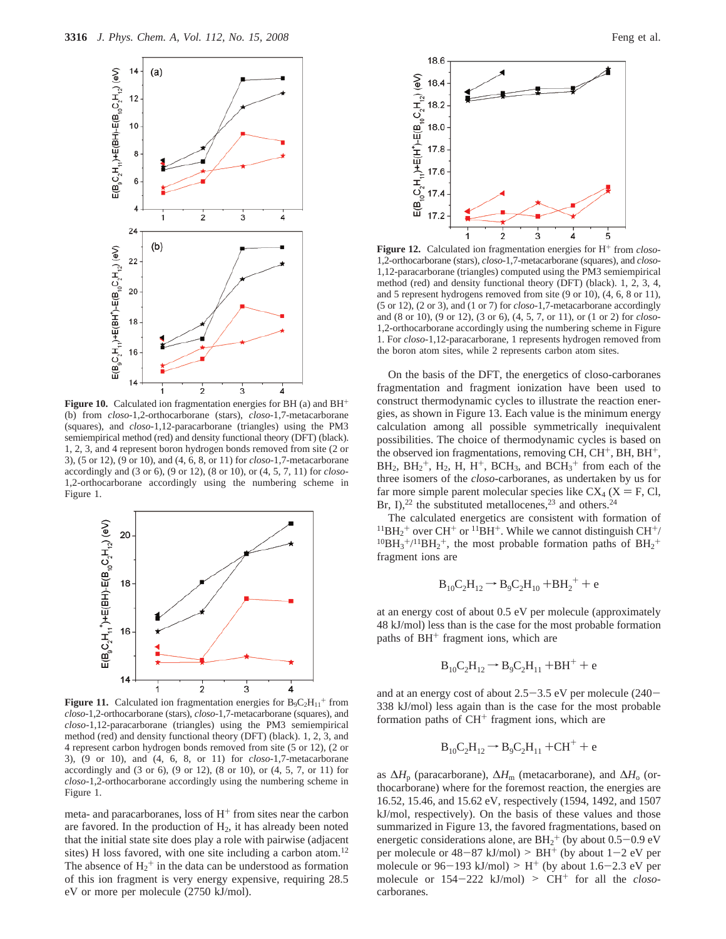

**Figure 10.** Calculated ion fragmentation energies for BH (a) and BH<sup>+</sup> (b) from *closo*-1,2-orthocarborane (stars), *closo*-1,7-metacarborane (squares), and *closo*-1,12-paracarborane (triangles) using the PM3 semiempirical method (red) and density functional theory (DFT) (black). 1, 2, 3, and 4 represent boron hydrogen bonds removed from site (2 or 3), (5 or 12), (9 or 10), and (4, 6, 8, or 11) for *closo*-1,7-metacarborane accordingly and (3 or 6), (9 or 12), (8 or 10), or (4, 5, 7, 11) for *closo*-1,2-orthocarborane accordingly using the numbering scheme in Figure 1.



**Figure 11.** Calculated ion fragmentation energies for  $B_9C_2H_{11}$ <sup>+</sup> from *closo*-1,2-orthocarborane (stars), *closo*-1,7-metacarborane (squares), and *closo*-1,12-paracarborane (triangles) using the PM3 semiempirical method (red) and density functional theory (DFT) (black). 1, 2, 3, and 4 represent carbon hydrogen bonds removed from site (5 or 12), (2 or 3), (9 or 10), and (4, 6, 8, or 11) for *closo*-1,7-metacarborane accordingly and (3 or 6), (9 or 12), (8 or 10), or (4, 5, 7, or 11) for *closo*-1,2-orthocarborane accordingly using the numbering scheme in Figure 1.

meta- and paracarboranes, loss of  $H<sup>+</sup>$  from sites near the carbon are favored. In the production of  $H_2$ , it has already been noted that the initial state site does play a role with pairwise (adjacent sites) H loss favored, with one site including a carbon atom.<sup>12</sup> The absence of  $H_2^+$  in the data can be understood as formation of this ion fragment is very energy expensive, requiring 28.5 eV or more per molecule (2750 kJ/mol).



Figure 12. Calculated ion fragmentation energies for H<sup>+</sup> from *closo*-1,2-orthocarborane (stars), *closo*-1,7-metacarborane (squares), and *closo*-1,12-paracarborane (triangles) computed using the PM3 semiempirical method (red) and density functional theory (DFT) (black). 1, 2, 3, 4, and 5 represent hydrogens removed from site (9 or 10), (4, 6, 8 or 11), (5 or 12), (2 or 3), and (1 or 7) for *closo*-1,7-metacarborane accordingly and (8 or 10), (9 or 12), (3 or 6), (4, 5, 7, or 11), or (1 or 2) for *closo*-1,2-orthocarborane accordingly using the numbering scheme in Figure 1. For *closo*-1,12-paracarborane, 1 represents hydrogen removed from the boron atom sites, while 2 represents carbon atom sites.

On the basis of the DFT, the energetics of closo-carboranes fragmentation and fragment ionization have been used to construct thermodynamic cycles to illustrate the reaction energies, as shown in Figure 13. Each value is the minimum energy calculation among all possible symmetrically inequivalent possibilities. The choice of thermodynamic cycles is based on the observed ion fragmentations, removing CH, CH<sup>+</sup>, BH, BH<sup>+</sup>,  $BH<sub>2</sub>$ ,  $BH<sub>2</sub><sup>+</sup>$ ,  $H<sub>2</sub>$ ,  $H$ ,  $H<sup>+</sup>$ ,  $BCH<sub>3</sub>$ , and  $BCH<sub>3</sub><sup>+</sup>$  from each of the three isomers of the *closo*-carboranes, as undertaken by us for far more simple parent molecular species like  $CX_4$  ( $X = F$ , Cl, Br, I),<sup>22</sup> the substituted metallocenes,<sup>23</sup> and others.<sup>24</sup>

The calculated energetics are consistent with formation of  ${}^{11}BH_2$ <sup>+</sup> over CH<sup>+</sup> or  ${}^{11}BH$ <sup>+</sup>. While we cannot distinguish CH<sup>+</sup>/ <sup>11</sup>BH<sub>2</sub><sup>+</sup> over CH<sup>+</sup> or <sup>11</sup>BH<sup>+</sup>. While we cannot distinguish CH<sup>+</sup>/<sup>10</sup>BH<sub>3</sub><sup>+</sup>/<sup>11</sup>BH<sub>2</sub><sup>+</sup>, the most probable formation paths of BH<sub>2</sub><sup>+</sup> fragment ions are

$$
B_{10}C_2H_{12} \rightarrow B_9C_2H_{10} + BH_2^+ + e
$$

at an energy cost of about 0.5 eV per molecule (approximately 48 kJ/mol) less than is the case for the most probable formation paths of BH<sup>+</sup> fragment ions, which are

$$
B_{10}C_2H_{12} \rightarrow B_9C_2H_{11} + BH^+ + e
$$

and at an energy cost of about  $2.5-3.5$  eV per molecule  $(240-$ 338 kJ/mol) less again than is the case for the most probable formation paths of  $CH<sup>+</sup>$  fragment ions, which are

$$
B_{10}C_2H_{12} \rightarrow B_9C_2H_{11} + CH^+ + e
$$

as ∆*H*<sup>p</sup> (paracarborane), ∆*H*<sup>m</sup> (metacarborane), and ∆*H*<sup>o</sup> (orthocarborane) where for the foremost reaction, the energies are 16.52, 15.46, and 15.62 eV, respectively (1594, 1492, and 1507 kJ/mol, respectively). On the basis of these values and those summarized in Figure 13, the favored fragmentations, based on energetic considerations alone, are  $BH_2^+$  (by about 0.5–0.9 eV<br>per molecule or  $48-87$  kL/mol)  $> BH^+$  (by about  $1-2$  eV per per molecule or  $48-87$  kJ/mol) > BH<sup>+</sup> (by about  $1-2$  eV per molecule or  $96-193$  kJ/mol) > H<sup>+</sup> (by about 1.6-2.3 eV per molecule or  $154-222$  kJ/mol) >  $CH<sup>+</sup>$  for all the *closo*carboranes.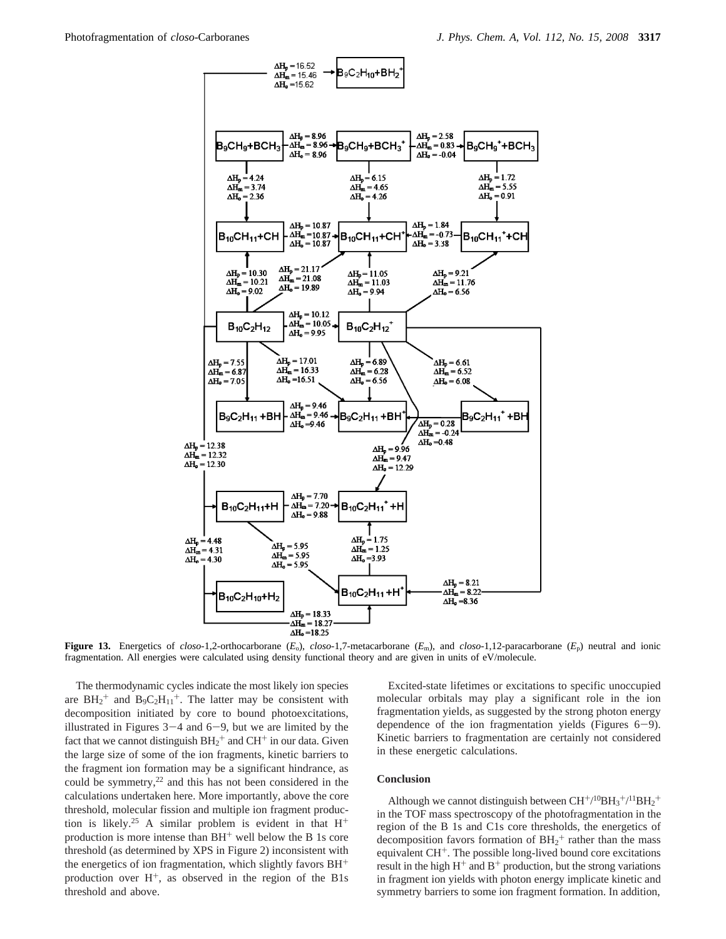

**Figure 13.** Energetics of *closo*-1,2-orthocarborane  $(E_0)$ , *closo*-1,7-metacarborane  $(E_m)$ , and *closo*-1,12-paracarborane  $(E_p)$  neutral and ionic fragmentation. All energies were calculated using density functional theory and are given in units of eV/molecule.

The thermodynamic cycles indicate the most likely ion species are  $BH_2^+$  and  $B_9C_2H_{11}^+$ . The latter may be consistent with decomposition initiated by core to bound photoexcitations, illustrated in Figures  $3-4$  and  $6-9$ , but we are limited by the fact that we cannot distinguish  $BH_2^+$  and  $CH^+$  in our data. Given the large size of some of the ion fragments, kinetic barriers to the fragment ion formation may be a significant hindrance, as could be symmetry,<sup>22</sup> and this has not been considered in the calculations undertaken here. More importantly, above the core threshold, molecular fission and multiple ion fragment production is likely.<sup>25</sup> A similar problem is evident in that  $H^+$ production is more intense than  $BH<sup>+</sup>$  well below the B 1s core threshold (as determined by XPS in Figure 2) inconsistent with the energetics of ion fragmentation, which slightly favors  $BH<sup>+</sup>$ production over  $H^+$ , as observed in the region of the B1s threshold and above.

Excited-state lifetimes or excitations to specific unoccupied molecular orbitals may play a significant role in the ion fragmentation yields, as suggested by the strong photon energy dependence of the ion fragmentation yields (Figures 6-9). Kinetic barriers to fragmentation are certainly not considered in these energetic calculations.

#### **Conclusion**

Although we cannot distinguish between  $CH^{+/10}BH_3^{+/11}BH_2^+$ in the TOF mass spectroscopy of the photofragmentation in the region of the B 1s and C1s core thresholds, the energetics of decomposition favors formation of  $BH<sub>2</sub><sup>+</sup>$  rather than the mass equivalent CH+. The possible long-lived bound core excitations result in the high  $H^+$  and  $B^+$  production, but the strong variations in fragment ion yields with photon energy implicate kinetic and symmetry barriers to some ion fragment formation. In addition,